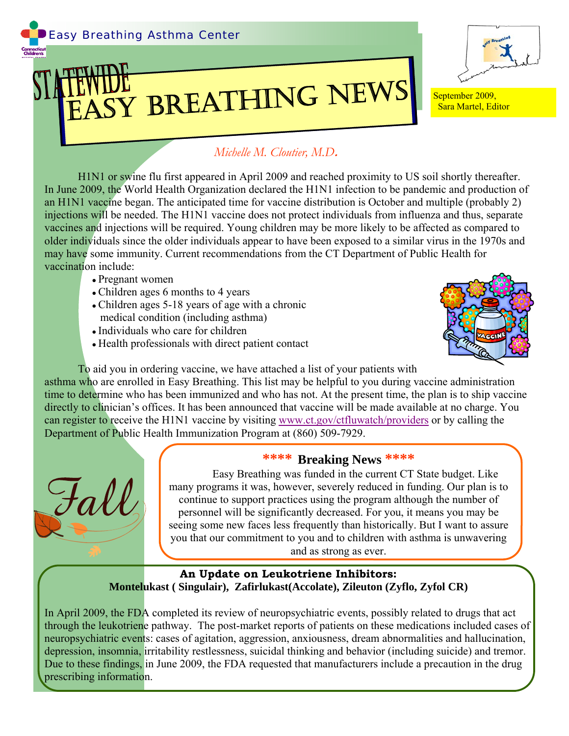

## ASY BREATHING NEWS September 2009,



Sara Martel, Editor

## *Michelle M. Cloutier, M.D***.**

H1N1 or swine flu first appeared in April 2009 and reached proximity to US soil shortly thereafter. In June 2009, the World Health Organization declared the H1N1 infection to be pandemic and production of an H1N1 vaccine began. The anticipated time for vaccine distribution is October and multiple (probably 2) injections will be needed. The H1N1 vaccine does not protect individuals from influenza and thus, separate vaccines and injections will be required. Young children may be more likely to be affected as compared to older individuals since the older individuals appear to have been exposed to a similar virus in the 1970s and may have some immunity. Current recommendations from the CT Department of Public Health for vaccination include:

- Pregnant women
- Children ages 6 months to 4 years
- Children ages 5-18 years of age with a chronic medical condition (including asthma)
- Individuals who care for children
- Health professionals with direct patient contact



To aid you in ordering vaccine, we have attached a list of your patients with

asthma who are enrolled in Easy Breathing. This list may be helpful to you during vaccine administration time to determine who has been immunized and who has not. At the present time, the plan is to ship vaccine directly to clinician's offices. It has been announced that vaccine will be made available at no charge. You can register to receive the H1N1 vaccine by visiting [www.ct.gov/ctfluwatch/providers](http://www.ct.gov/ctfluwatch/providers) or by calling the Department of Public Health Immunization Program at (860) 509-7929.



## **\*\*\*\* Breaking News \*\*\*\***

 Easy Breathing was funded in the current CT State budget. Like many programs it was, however, severely reduced in funding. Our plan is to continue to support practices using the program although the number of personnel will be significantly decreased. For you, it means you may be seeing some new faces less frequently than historically. But I want to assure you that our commitment to you and to children with asthma is unwavering and as strong as ever.

**An Update on Leukotriene Inhibitors: Montelukast ( Singulair), Zafirlukast(Accolate), Zileuton (Zyflo, Zyfol CR)** 

In April 2009, the FDA completed its review of neuropsychiatric events, possibly related to drugs that act through the leukotriene pathway. The post-market reports of patients on these medications included cases of neuropsychiatric events: cases of agitation, aggression, anxiousness, dream abnormalities and hallucination, depression, insomnia, irritability restlessness, suicidal thinking and behavior (including suicide) and tremor. Due to these findings, in June 2009, the FDA requested that manufacturers include a precaution in the drug prescribing information.